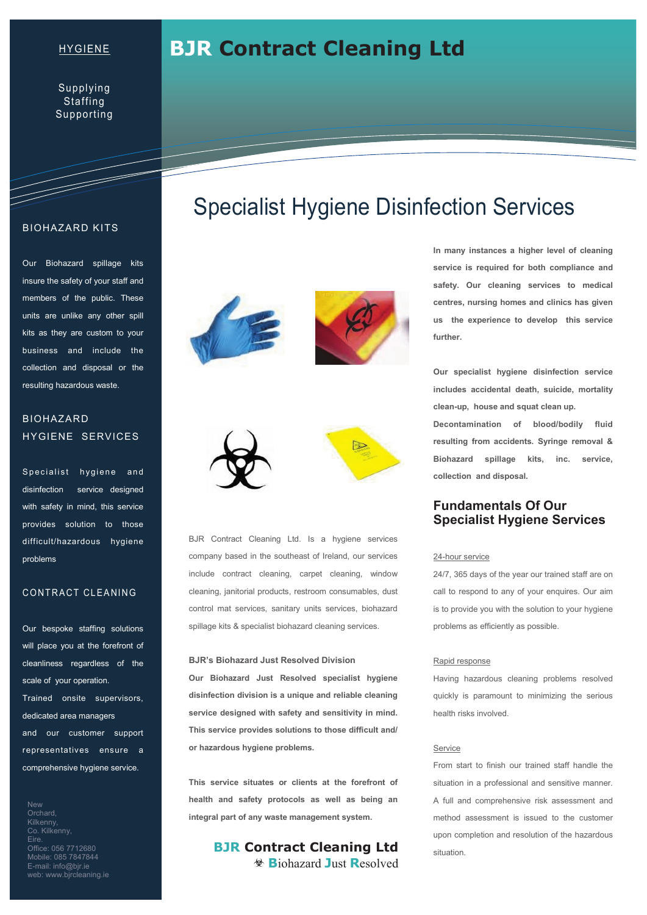### HYGIENE

Supplying **Staffing** Supporting

#### BIOHAZARD KITS

T

Our Biohazard spillage kits insure the safety of your staff and members of the public. These units are unlike any other spill kits as they are custom to your business and include the collection and disposal or the resulting hazardous waste.

### BIOHAZARD HYGIENE SERVICES

Specialist hygiene and disinfection service designed with safety in mind, this service provides solution to those difficult/hazardous hygiene problems

#### CONTRACT CLEANING

Our bespoke staffing solutions will place you at the forefront of cleanliness regardless of the scale of your operation. Trained onsite supervisors, dedicated area managers and our customer support representatives ensure a comprehensive hygiene service.

New **Orchard** Kilkenny, Co. Kilkenny, Eire. Office: 056 7712680 Mobile: 085 7847844 E-mail: info@bjr.ie web: www.bjrcleaning.ie

# Specialist Hygiene Disinfection Services

**BJR Contract Cleaning Ltd** 









BJR Contract Cleaning Ltd. Is a hygiene services company based in the southeast of Ireland, our services include contract cleaning, carpet cleaning, window cleaning, janitorial products, restroom consumables, dust control mat services, sanitary units services, biohazard spillage kits & specialist biohazard cleaning services.

#### **BJR's Biohazard Just Resolved Division**

**Our Biohazard Just Resolved specialist hygiene disinfection division is a unique and reliable cleaning service designed with safety and sensitivity in mind. This service provides solutions to those difficult and/ or hazardous hygiene problems.** 

**This service situates or clients at the forefront of health and safety protocols as well as being an integral part of any waste management system.** 

> **BJR Contract Cleaning Ltd B**iohazard **J**ust **R**esolved

**In many instances a higher level of cleaning service is required for both compliance and safety. Our cleaning services to medical centres, nursing homes and clinics has given us the experience to develop this service further.** 

**Our specialist hygiene disinfection service includes accidental death, suicide, mortality clean-up, house and squat clean up. Decontamination of blood/bodily fluid resulting from accidents. Syringe removal & Biohazard spillage kits, inc. service, collection and disposal.** 

### **Fundamentals Of Our Specialist Hygiene Services**

#### 24-hour service

24/7, 365 days of the year our trained staff are on call to respond to any of your enquires. Our aim is to provide you with the solution to your hygiene problems as efficiently as possible.

#### Rapid response

Having hazardous cleaning problems resolved quickly is paramount to minimizing the serious health risks involved.

#### **Service**

From start to finish our trained staff handle the situation in a professional and sensitive manner. A full and comprehensive risk assessment and method assessment is issued to the customer upon completion and resolution of the hazardous situation.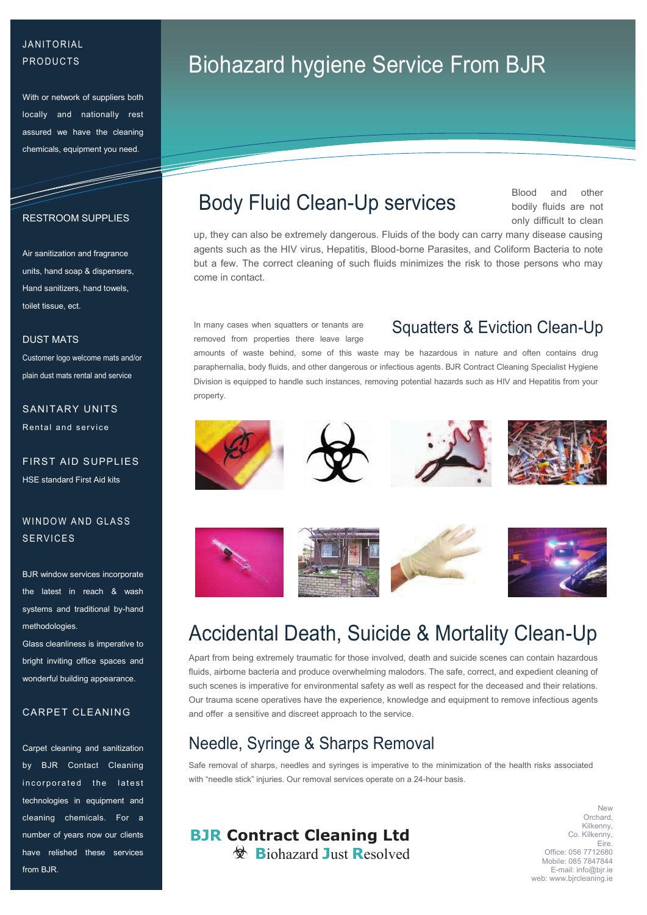## **JANITORIAL PRODUCTS**

With or network of suppliers both locally and nationally rest assured we have the cleaning chemicals, equipment you need.

#### RESTROOM SUPPLIES

and the contract of the contract of the contract of the contract of the contract of the contract of the contract of the contract of the contract of the contract of the contract of the contract of the contract of the contra

Air sanitization and fragrance units, hand soap & dispensers, Hand sanitizers, hand towels, toilet tissue, ect.

#### DUST MATS

Customer logo welcome mats and/or plain dust mats rental and service

## SANITARY UNITS Rental and service

FIRST AID SUPPLIES HSE standard First Aid kits

## WINDOW AND GLASS **SERVICES**

BJR window services incorporate the latest in reach & wash systems and traditional by-hand methodologies.

Glass cleanliness is imperative to bright inviting office spaces and wonderful building appearance.

#### CARPET CLEANING

Carpet cleaning and sanitization by BJR Contact Cleaning incorporated the latest technologies in equipment and cleaning chemicals. For a number of years now our clients have relished these services from **BJR** 

# Biohazard hygiene Service From BJR

## Body Fluid Clean-Up services

Blood and other bodily fluids are not only difficult to clean

up, they can also be extremely dangerous. Fluids of the body can carry many disease causing agents such as the HIV virus, Hepatitis, Blood-borne Parasites, and Coliform Bacteria to note but a few. The correct cleaning of such fluids minimizes the risk to those persons who may come in contact.

In many cases when squatters or tenants are removed from properties there leave large

## Squatters & Eviction Clean-Up

amounts of waste behind, some of this waste may be hazardous in nature and often contains drug paraphernalia, body fluids, and other dangerous or infectious agents. BJR Contract Cleaning Specialist Hygiene Division is equipped to handle such instances, removing potential hazards such as HIV and Hepatitis from your property.

















## Accidental Death, Suicide & Mortality Clean-Up

Apart from being extremely traumatic for those involved, death and suicide scenes can contain hazardous fluids, airborne bacteria and produce overwhelming malodors. The safe, correct, and expedient cleaning of such scenes is imperative for environmental safety as well as respect for the deceased and their relations. Our trauma scene operatives have the experience, knowledge and equipment to remove infectious agents and offer a sensitive and discreet approach to the service.

## Needle, Syringe & Sharps Removal

Safe removal of sharps, needles and syringes is imperative to the minimization of the health risks associated with "needle stick" injuries. Our removal services operate on a 24-hour basis.

## **BJR Contract Cleaning Ltd B**iohazard **J**ust **R**esolved

**New** Orchard, Kilkenny, Co. Kilkenny, Eire. Office: 056 7712680 Mobile: 085 7847844 E-mail: info@bjr.ie web: www.bjrcleaning.ie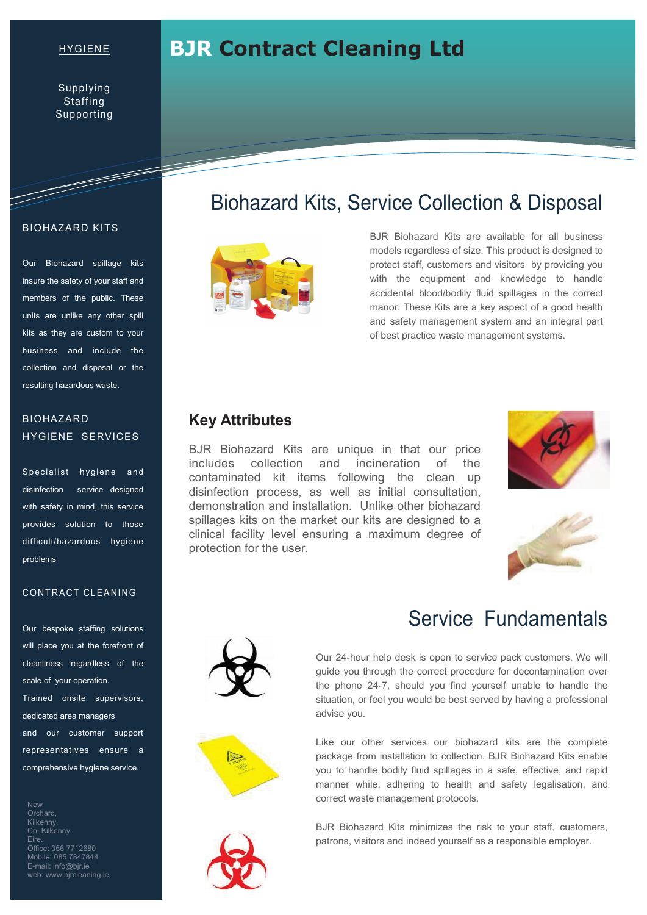### HYGIENE

Supplying **Staffing** Supporting

#### BIOHAZARD KITS

and the second contract of the second second contract of the second second second second second second second second second second second second second second second second second second second second second second second

Our Biohazard spillage kits insure the safety of your staff and members of the public. These units are unlike any other spill kits as they are custom to your business and include the collection and disposal or the resulting hazardous waste.

## BIOHAZARD HYGIENE SERVICES

Specialist hygiene and disinfection service designed with safety in mind, this service provides solution to those difficult/hazardous hygiene problems

### CONTRACT CLEANING

Our bespoke staffing solutions will place you at the forefront of cleanliness regardless of the scale of your operation. Trained onsite supervisors,

dedicated area managers and our customer support representatives ensure a comprehensive hygiene service.

New **Orchard Kilkenny** Co. Kilkenny, Eire. Office: 056 7712680 Mobile: 085 7847844 E-mail: info@bjr.ie web: www.bjrcleaning.ie

## Biohazard Kits, Service Collection & Disposal



**BJR Contract Cleaning Ltd** 

BJR Biohazard Kits are available for all business models regardless of size. This product is designed to protect staff, customers and visitors by providing you with the equipment and knowledge to handle accidental blood/bodily fluid spillages in the correct manor. These Kits are a key aspect of a good health and safety management system and an integral part of best practice waste management systems.

## **Key Attributes**

BJR Biohazard Kits are unique in that our price includes collection and incineration of the contaminated kit items following the clean up disinfection process, as well as initial consultation, demonstration and installation. Unlike other biohazard spillages kits on the market our kits are designed to a clinical facility level ensuring a maximum degree of protection for the user.









## Service Fundamentals

Our 24-hour help desk is open to service pack customers. We will guide you through the correct procedure for decontamination over the phone 24-7, should you find yourself unable to handle the situation, or feel you would be best served by having a professional advise you.

Like our other services our biohazard kits are the complete package from installation to collection. BJR Biohazard Kits enable you to handle bodily fluid spillages in a safe, effective, and rapid manner while, adhering to health and safety legalisation, and correct waste management protocols.



BJR Biohazard Kits minimizes the risk to your staff, customers, patrons, visitors and indeed yourself as a responsible employer.